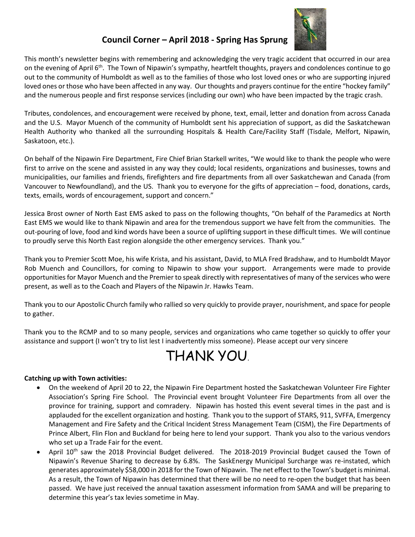

## **Council Corner – April 2018 - Spring Has Sprung**

This month's newsletter begins with remembering and acknowledging the very tragic accident that occurred in our area on the evening of April  $6<sup>th</sup>$ . The Town of Nipawin's sympathy, heartfelt thoughts, prayers and condolences continue to go out to the community of Humboldt as well as to the families of those who lost loved ones or who are supporting injured loved ones or those who have been affected in any way. Our thoughts and prayers continue for the entire "hockey family" and the numerous people and first response services (including our own) who have been impacted by the tragic crash.

Tributes, condolences, and encouragement were received by phone, text, email, letter and donation from across Canada and the U.S. Mayor Muench of the community of Humboldt sent his appreciation of support, as did the Saskatchewan Health Authority who thanked all the surrounding Hospitals & Health Care/Facility Staff (Tisdale, Melfort, Nipawin, Saskatoon, etc.).

On behalf of the Nipawin Fire Department, Fire Chief Brian Starkell writes, "We would like to thank the people who were first to arrive on the scene and assisted in any way they could; local residents, organizations and businesses, towns and municipalities, our families and friends, firefighters and fire departments from all over Saskatchewan and Canada (from Vancouver to Newfoundland), and the US. Thank you to everyone for the gifts of appreciation – food, donations, cards, texts, emails, words of encouragement, support and concern."

Jessica Brost owner of North East EMS asked to pass on the following thoughts, "On behalf of the Paramedics at North East EMS we would like to thank Nipawin and area for the tremendous support we have felt from the communities. The out-pouring of love, food and kind words have been a source of uplifting support in these difficult times. We will continue to proudly serve this North East region alongside the other emergency services. Thank you."

Thank you to Premier Scott Moe, his wife Krista, and his assistant, David, to MLA Fred Bradshaw, and to Humboldt Mayor Rob Muench and Councillors, for coming to Nipawin to show your support. Arrangements were made to provide opportunities for Mayor Muench and the Premier to speak directly with representatives of many of the services who were present, as well as to the Coach and Players of the Nipawin Jr. Hawks Team.

Thank you to our Apostolic Church family who rallied so very quickly to provide prayer, nourishment, and space for people to gather.

Thank you to the RCMP and to so many people, services and organizations who came together so quickly to offer your assistance and support (I won't try to list lest I inadvertently miss someone). Please accept our very sincere

# THANK YOU.

### **Catching up with Town activities:**

- On the weekend of April 20 to 22, the Nipawin Fire Department hosted the Saskatchewan Volunteer Fire Fighter Association's Spring Fire School. The Provincial event brought Volunteer Fire Departments from all over the province for training, support and comradery. Nipawin has hosted this event several times in the past and is applauded for the excellent organization and hosting. Thank you to the support of STARS, 911, SVFFA, Emergency Management and Fire Safety and the Critical Incident Stress Management Team (CISM), the Fire Departments of Prince Albert, Flin Flon and Buckland for being here to lend your support. Thank you also to the various vendors who set up a Trade Fair for the event.
- April 10th saw the 2018 Provincial Budget delivered. The 2018-2019 Provincial Budget caused the Town of Nipawin's Revenue Sharing to decrease by 6.8%. The SaskEnergy Municipal Surcharge was re-instated, which generates approximately \$58,000 in 2018 for the Town of Nipawin. The net effect to the Town's budget is minimal. As a result, the Town of Nipawin has determined that there will be no need to re-open the budget that has been passed. We have just received the annual taxation assessment information from SAMA and will be preparing to determine this year's tax levies sometime in May.